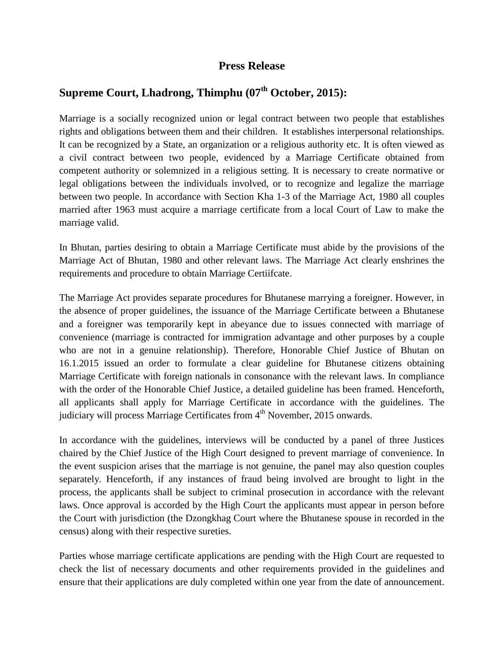## **Press Release**

## **Supreme Court, Lhadrong, Thimphu (07th October, 2015):**

Marriage is a socially recognized union or legal contract between two people that establishes rights and obligations between them and their children. It establishes interpersonal relationships. It can be recognized by a State, an organization or a religious authority etc. It is often viewed as a civil contract between two people, evidenced by a Marriage Certificate obtained from competent authority or solemnized in a religious setting. It is necessary to create normative or legal obligations between the individuals involved, or to recognize and legalize the marriage between two people. In accordance with Section Kha 1-3 of the Marriage Act, 1980 all couples married after 1963 must acquire a marriage certificate from a local Court of Law to make the marriage valid.

In Bhutan, parties desiring to obtain a Marriage Certificate must abide by the provisions of the Marriage Act of Bhutan, 1980 and other relevant laws. The Marriage Act clearly enshrines the requirements and procedure to obtain Marriage Certiifcate.

The Marriage Act provides separate procedures for Bhutanese marrying a foreigner. However, in the absence of proper guidelines, the issuance of the Marriage Certificate between a Bhutanese and a foreigner was temporarily kept in abeyance due to issues connected with marriage of convenience (marriage is contracted for immigration advantage and other purposes by a couple who are not in a genuine relationship). Therefore, Honorable Chief Justice of Bhutan on 16.1.2015 issued an order to formulate a clear guideline for Bhutanese citizens obtaining Marriage Certificate with foreign nationals in consonance with the relevant laws. In compliance with the order of the Honorable Chief Justice, a detailed guideline has been framed. Henceforth, all applicants shall apply for Marriage Certificate in accordance with the guidelines. The judiciary will process Marriage Certificates from  $4<sup>th</sup>$  November, 2015 onwards.

In accordance with the guidelines, interviews will be conducted by a panel of three Justices chaired by the Chief Justice of the High Court designed to prevent marriage of convenience. In the event suspicion arises that the marriage is not genuine, the panel may also question couples separately. Henceforth, if any instances of fraud being involved are brought to light in the process, the applicants shall be subject to criminal prosecution in accordance with the relevant laws. Once approval is accorded by the High Court the applicants must appear in person before the Court with jurisdiction (the Dzongkhag Court where the Bhutanese spouse in recorded in the census) along with their respective sureties.

Parties whose marriage certificate applications are pending with the High Court are requested to check the list of necessary documents and other requirements provided in the guidelines and ensure that their applications are duly completed within one year from the date of announcement.